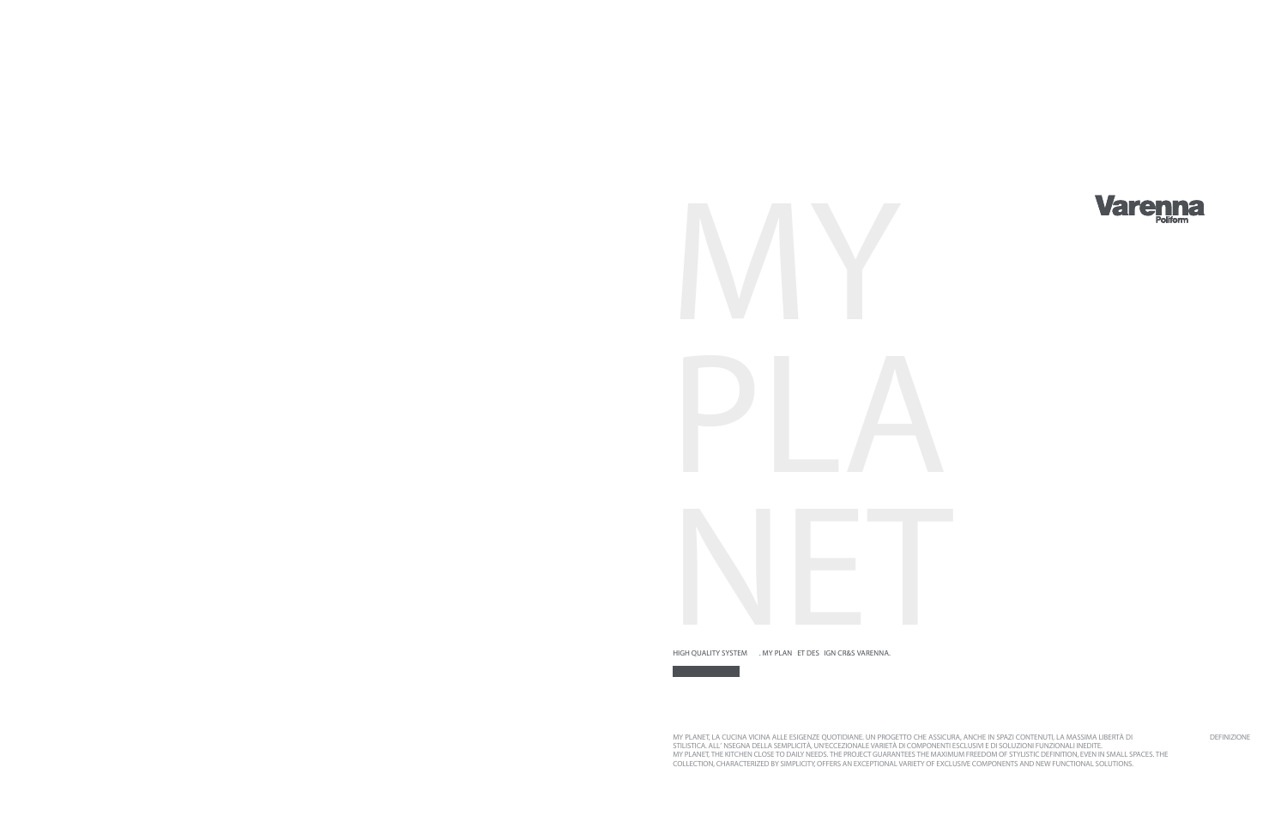

MY PLANET, LA CUCINA VICINA ALLE ESIGENZE QUOTIDIANE. UN PROGETTO CHE ASSICURA, ANCHE IN SPAZI CONTENUTI, LA MASSIMA LIBERTÀ DI DEFINIZIONE STILISTICA. ALL' NSEGNA DELLA SEMPLICITÀ, UN'ECCEZIONALE VARIETÀ DI COMPONENTI ESCLUSIVI E DI SOLUZIONI FUNZIONALI INEDITE. MY PLANET, THE KITCHEN CLOSE TO DAILY NEEDS. THE PROJECT GUARANTEES THE MAXIMUM FREEDOM OF STYLISTIC DEFINITION, EVEN IN SMALL SPACES. THE COLLECTION, CHARACTERIZED BY SIMPLICITY, OFFERS AN EXCEPTIONAL VARIETY OF EXCLUSIVE COMPONENTS AND NEW FUNCTIONAL SOLUTIONS.



HIGH QUALITY SYSTEM . MY PLAN ET DES IGN CR&S VARENNA.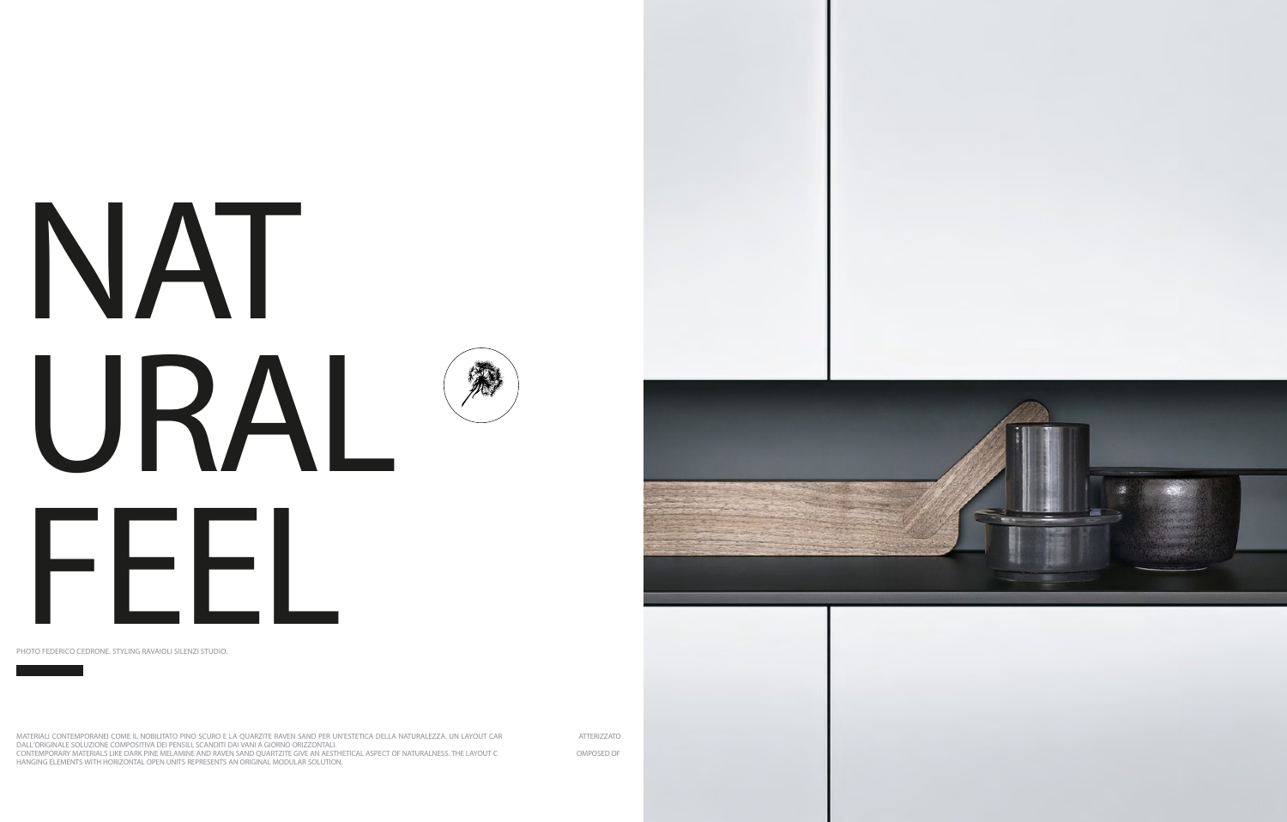## NAT URAL FEEL

MATERIALI CONTEMPORANEI COME IL NOBILITATO PINO SCURO E LA QUARZITE RAVEN SAND PER UN'ESTETICA DELLA NATURALEZZA. UN LAYOUT CAR ATTERIZZATO DALL'ORIGINALE SOLUZIONE COMPOSITIVA DEI PENSILI, SCANDITI DAI VANI A GIORNO ORIZZONTALI. CONTEMPORARY MATERIALS LIKE DARK PINE MELAMINE AND RAVEN SAND QUARTZITE GIVE AN AESTHETICAL ASPECT OF NATURALNESS. THE LAYOUT C OMPOSED OF HANGING ELEMENTS WITH HORIZONTAL OPEN UNITS REPRESENTS AN ORIGINAL MODULAR SOLUTION.







PHOTO FEDERICO CEDRONE. STYLING RAVAIOLI SILENZI STUDIO.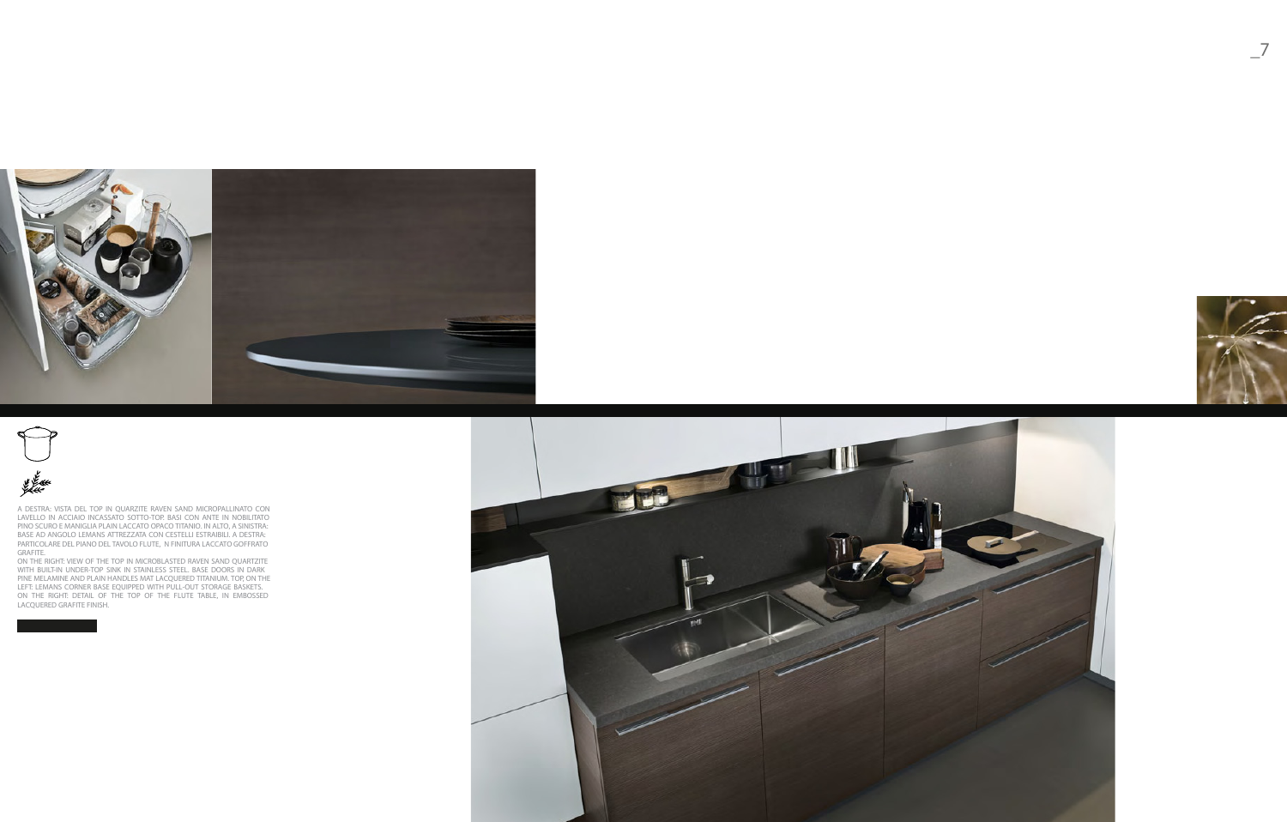**\_7**





A DESTRA: VISTA DEL TOP IN QUARZITE RAVEN SAND MICROPALLINATO CON LAVELLO IN ACCIAIO INCASSATO SOTTO-TOP. BASI CON ANTE IN NOBILITATO PINO SCURO E MANIGLIA PLAIN LACCATO OPACO TITANIO. IN ALTO, A SINISTRA: BASE AD ANGOLO LEMANS ATTREZZATA CON CESTELLI ESTRAIBILI. A DESTRA: PARTICOLARE DEL PIANO DEL TAVOLO FLUTE, N FINITURA LACCATO GOFFRATO GRAFITE.

ON THE RIGHT: VIEW OF THE TOP IN MICROBLASTED RAVEN SAND QUARTZITE WITH BUILT-IN UNDER-TOP SINK IN STAINLESS STEEL. BASE DOORS IN DARK PINE MELAMINE AND PLAIN HANDLES MAT LACQUERED TITANIUM. TOP, ON THE LEFT: LEMANS CORNER BASE EQUIPPED WITH PULL-OUT STORAGE BASKETS. ON THE RIGHT: DETAIL OF THE TOP OF THE FLUTE TABLE, IN EMBOSSED LACQUERED GRAFITE FINISH.





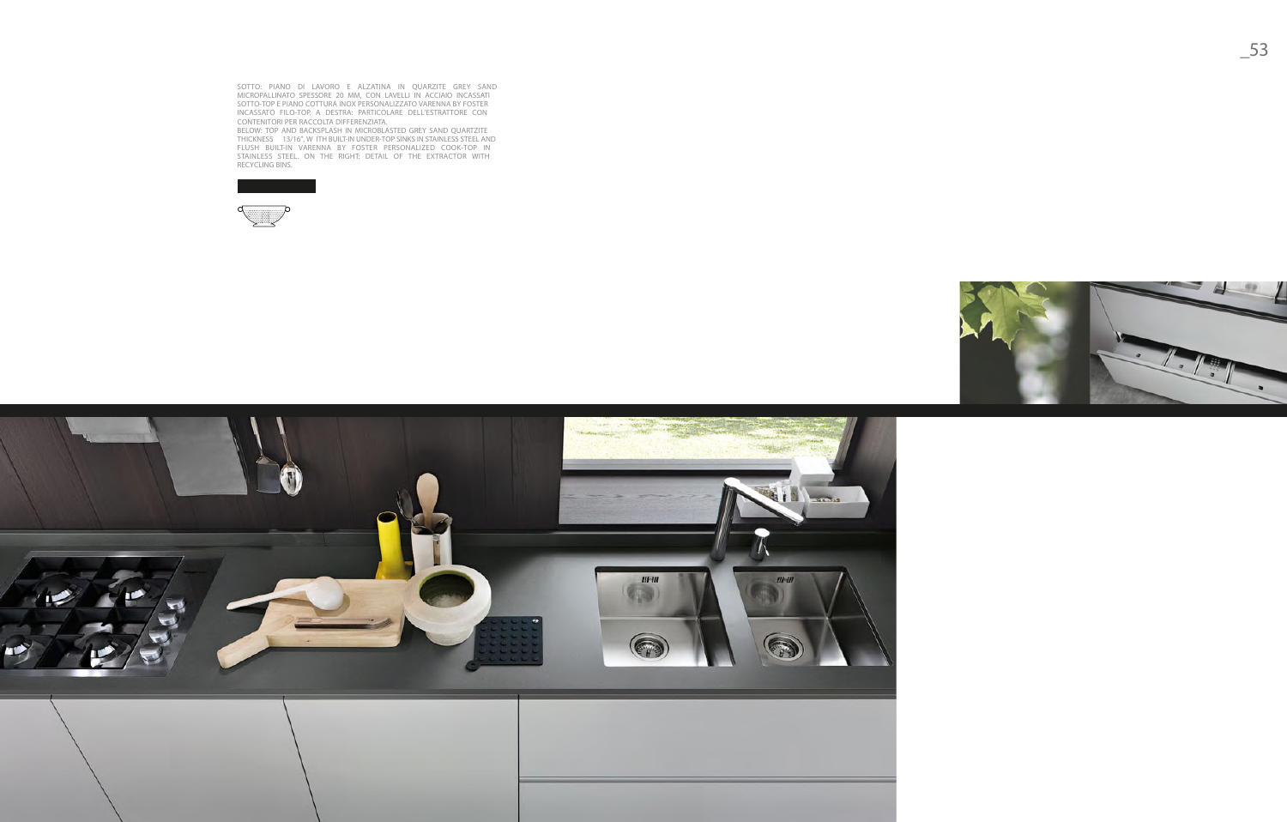SOTTO: PIANO DI LAVORO E ALZ ATINA IN QUARZITE GREY SAN D MICROPALLINATO SPESSORE 20 MM, CON LAVELLI IN ACCIAIO INCASSATI SOTTO-TOP E PIANO COTTURA INOX PERSONALIZZ ATO VARENNA BY FOSTE R INCASS ATO FILO-TOP. A DESTRA: PARTICOLARE DELL'ESTR ATTORE CO N CONTENITORI PER RACCOLTA DIFFERENZIATA.

BELOW: TOP AND BACKSPLASH IN MICROBLASTED GREY SAND QUARTZITE THICKNESS 13/16", W ITH BUILT-IN UNDER-TOP SINKS IN STAINLESS STEEL AND FLUSH BUILT-IN VARENNA BY FOSTER PERSONALIZED COOK-TOP IN STAINLESS STEEL. ON THE RIGHT: DETAIL OF THE EXTRACTOR WITH RECYCLING BINS.